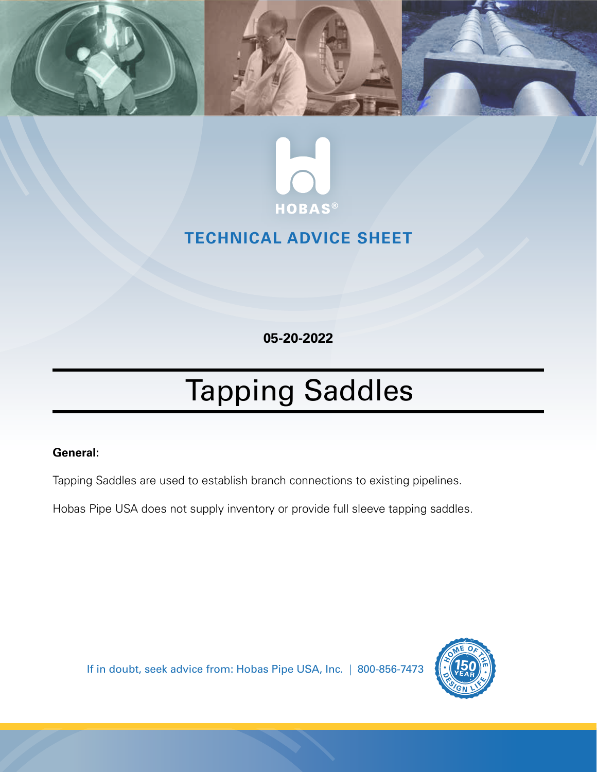



# **TECHNICAL ADVICE SHEET**

**05-20-2022**

# Tapping Saddles

## **General:**

Tapping Saddles are used to establish branch connections to existing pipelines.

Hobas Pipe USA does not supply inventory or provide full sleeve tapping saddles.

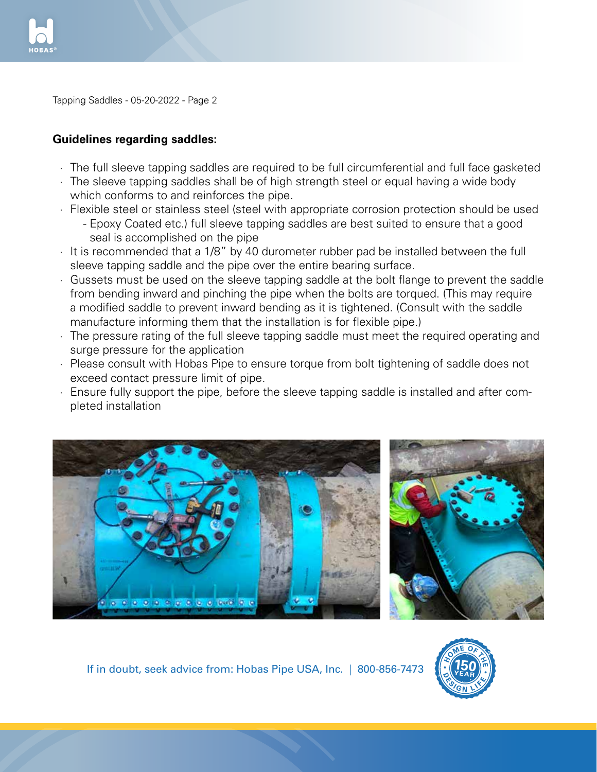

Tapping Saddles - 05-20-2022 - Page 2

### **Guidelines regarding saddles:**

- · The full sleeve tapping saddles are required to be full circumferential and full face gasketed
- · The sleeve tapping saddles shall be of high strength steel or equal having a wide body which conforms to and reinforces the pipe.
- · Flexible steel or stainless steel (steel with appropriate corrosion protection should be used
	- Epoxy Coated etc.) full sleeve tapping saddles are best suited to ensure that a good seal is accomplished on the pipe
- · It is recommended that a 1/8" by 40 durometer rubber pad be installed between the full sleeve tapping saddle and the pipe over the entire bearing surface.
- · Gussets must be used on the sleeve tapping saddle at the bolt flange to prevent the saddle from bending inward and pinching the pipe when the bolts are torqued. (This may require a modified saddle to prevent inward bending as it is tightened. (Consult with the saddle manufacture informing them that the installation is for flexible pipe.)
- · The pressure rating of the full sleeve tapping saddle must meet the required operating and surge pressure for the application
- · Please consult with Hobas Pipe to ensure torque from bolt tightening of saddle does not exceed contact pressure limit of pipe.
- · Ensure fully support the pipe, before the sleeve tapping saddle is installed and after completed installation